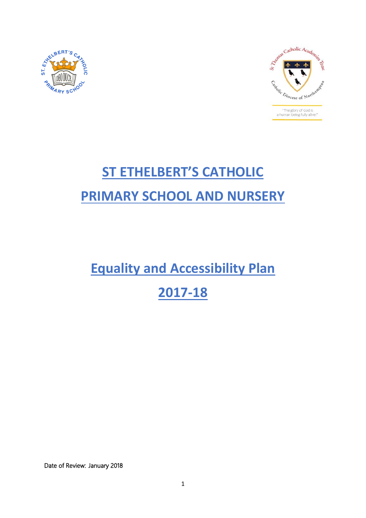



# **ST ETHELBERT'S CATHOLIC PRIMARY SCHOOL AND NURSERY**

**Equality and Accessibility Plan** 

## **2017-18**

Date of Review: January 2018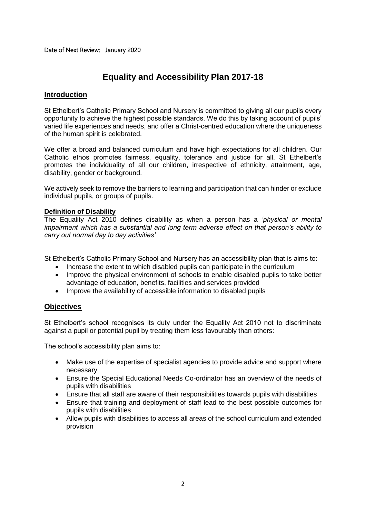### **Equality and Accessibility Plan 2017-18**

#### **Introduction**

St Ethelbert's Catholic Primary School and Nursery is committed to giving all our pupils every opportunity to achieve the highest possible standards. We do this by taking account of pupils' varied life experiences and needs, and offer a Christ-centred education where the uniqueness of the human spirit is celebrated.

We offer a broad and balanced curriculum and have high expectations for all children. Our Catholic ethos promotes fairness, equality, tolerance and justice for all. St Ethelbert's promotes the individuality of all our children, irrespective of ethnicity, attainment, age, disability, gender or background.

We actively seek to remove the barriers to learning and participation that can hinder or exclude individual pupils, or groups of pupils.

#### **Definition of Disability**

The Equality Act 2010 defines disability as when a person has a *'physical or mental impairment which has a substantial and long term adverse effect on that person's ability to carry out normal day to day activities'*

St Ethelbert's Catholic Primary School and Nursery has an accessibility plan that is aims to:

- Increase the extent to which disabled pupils can participate in the curriculum
- Improve the physical environment of schools to enable disabled pupils to take better advantage of education, benefits, facilities and services provided
- Improve the availability of accessible information to disabled pupils

#### **Objectives**

St Ethelbert's school recognises its duty under the Equality Act 2010 not to discriminate against a pupil or potential pupil by treating them less favourably than others:

The school's accessibility plan aims to:

- Make use of the expertise of specialist agencies to provide advice and support where necessary
- Ensure the Special Educational Needs Co-ordinator has an overview of the needs of pupils with disabilities
- Ensure that all staff are aware of their responsibilities towards pupils with disabilities
- Ensure that training and deployment of staff lead to the best possible outcomes for pupils with disabilities
- Allow pupils with disabilities to access all areas of the school curriculum and extended provision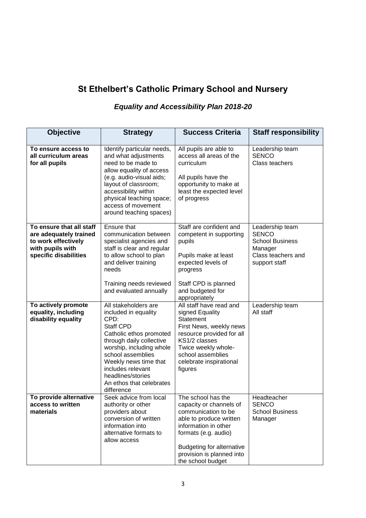## **St Ethelbert's Catholic Primary School and Nursery**

## *Equality and Accessibility Plan 2018-20*

| <b>Objective</b>                                                                                                       | <b>Strategy</b>                                                                                                                                                                                                                                                                               | <b>Success Criteria</b>                                                                                                                                                                                                               | <b>Staff responsibility</b>                                                                                 |
|------------------------------------------------------------------------------------------------------------------------|-----------------------------------------------------------------------------------------------------------------------------------------------------------------------------------------------------------------------------------------------------------------------------------------------|---------------------------------------------------------------------------------------------------------------------------------------------------------------------------------------------------------------------------------------|-------------------------------------------------------------------------------------------------------------|
| To ensure access to<br>all curriculum areas<br>for all pupils                                                          | Identify particular needs,<br>and what adjustments<br>need to be made to<br>allow equality of access<br>(e.g. audio-visual aids;<br>layout of classroom;<br>accessibility within<br>physical teaching space;<br>access of movement<br>around teaching spaces)                                 | All pupils are able to<br>access all areas of the<br>curriculum<br>All pupils have the<br>opportunity to make at<br>least the expected level<br>of progress                                                                           | Leadership team<br><b>SENCO</b><br>Class teachers                                                           |
| To ensure that all staff<br>are adequately trained<br>to work effectively<br>with pupils with<br>specific disabilities | Ensure that<br>communication between<br>specialist agencies and<br>staff is clear and regular<br>to allow school to plan<br>and deliver training<br>needs<br>Training needs reviewed<br>and evaluated annually                                                                                | Staff are confident and<br>competent in supporting<br>pupils<br>Pupils make at least<br>expected levels of<br>progress<br>Staff CPD is planned<br>and budgeted for<br>appropriately                                                   | Leadership team<br><b>SENCO</b><br><b>School Business</b><br>Manager<br>Class teachers and<br>support staff |
| To actively promote<br>equality, including<br>disability equality                                                      | All stakeholders are<br>included in equality<br>CPD:<br><b>Staff CPD</b><br>Catholic ethos promoted<br>through daily collective<br>worship, including whole<br>school assemblies<br>Weekly news time that<br>includes relevant<br>headlines/stories<br>An ethos that celebrates<br>difference | All staff have read and<br>signed Equality<br>Statement<br>First News, weekly news<br>resource provided for all<br>KS1/2 classes<br>Twice weekly whole-<br>school assemblies<br>celebrate inspirational<br>figures                    | Leadership team<br>All staff                                                                                |
| To provide alternative<br>access to written<br>materials                                                               | Seek advice from local<br>authority or other<br>providers about<br>conversion of written<br>information into<br>alternative formats to<br>allow access                                                                                                                                        | The school has the<br>capacity or channels of<br>communication to be<br>able to produce written<br>information in other<br>formats (e.g. audio)<br><b>Budgeting for alternative</b><br>provision is planned into<br>the school budget | Headteacher<br><b>SENCO</b><br><b>School Business</b><br>Manager                                            |